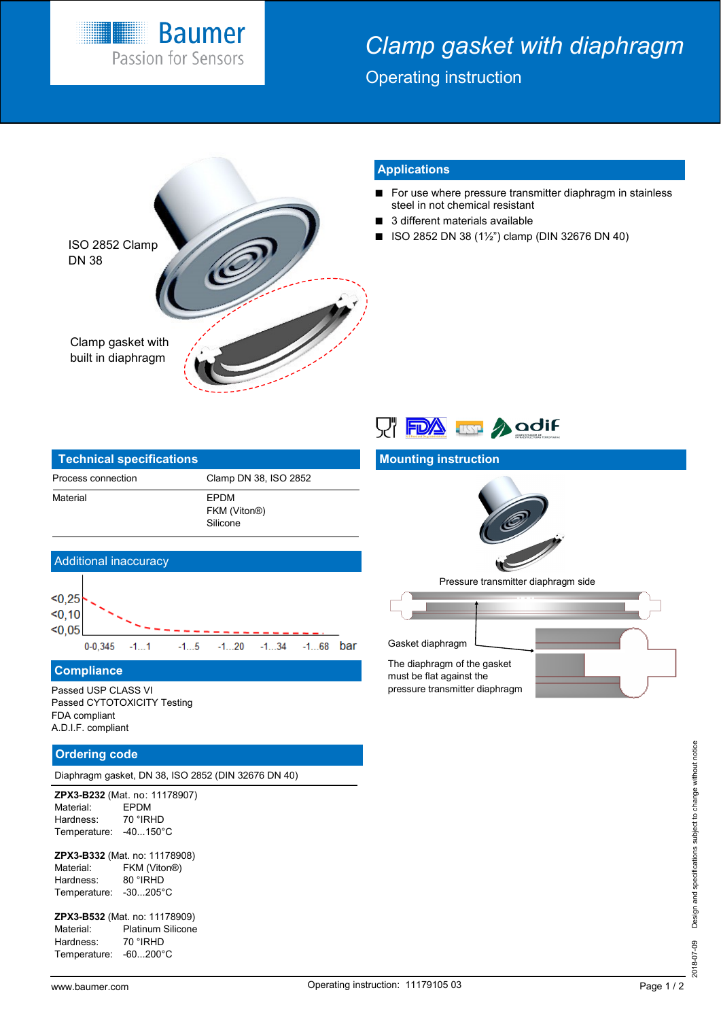

# *Clamp gasket with diaphragm*

Operating instruction



## **Applications**

- For use where pressure transmitter diaphragm in stainless steel in not chemical resistant
- 3 different materials available
- ISO 2852 DN 38 (1½") clamp (DIN 32676 DN 40)

| <b>Technical specifications</b> |                                                      |
|---------------------------------|------------------------------------------------------|
| Process connection              | Clamp DN 38, ISO 2852                                |
| Material                        | <b>FPDM</b><br>FKM (Viton <sup>®</sup> )<br>Silicone |



## **Mounting instruction**



Pressure transmitter diaphragm side



#### Additional inaccuracy  $< 0.25$  $< 0, 10$  $< 0.05$  $0 - 0.345$  $-1...20$  $-1...34$  $-1...68$  bar  $-1...1$  $-1...5$

**Compliance**

Passed USP CLASS VI Passed CYTOTOXICITY Testing FDA compliant A.D.I.F. compliant

### **Ordering code**

Diaphragm gasket, DN 38, ISO 2852 (DIN 32676 DN 40)

**ZPX3-B232** (Mat. no: 11178907) Material: EPDM<br>Hardness: 70 °IRHD Hardness: Temperature: -40...150°C

**ZPX3-B332** (Mat. no: 11178908) Material: FKM (Viton®) Hardness: 80 °IRHD Temperature: -30...205°C

**ZPX3-B532** (Mat. no: 11178909) Material: Platinum Silicone Hardness: 70 °IRHD Temperature: -60...200°C

2018-07-09 Design and specifications subject to change without notice 2018-07-09 Design and specifications subject to change without notice